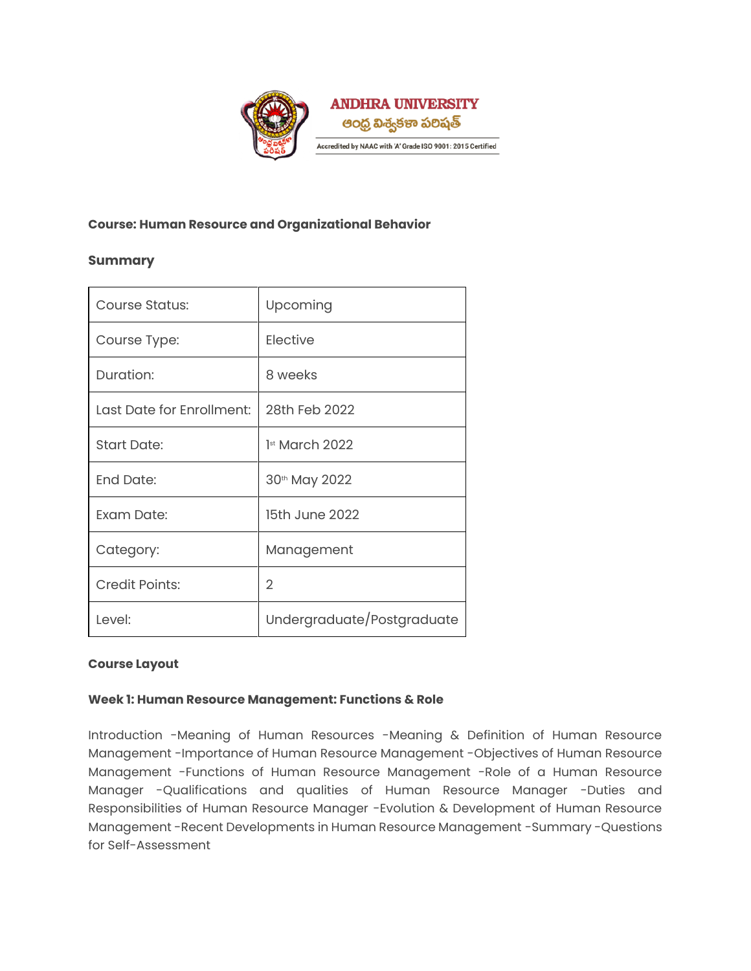

### **Course: Human Resource and Organizational Behavior**

# **Summary**

| Course Status:            | Upcoming                   |
|---------------------------|----------------------------|
| Course Type:              | Elective                   |
| Duration:                 | 8 weeks                    |
| Last Date for Enrollment: | 28th Feb 2022              |
| <b>Start Date:</b>        | $1st$ March 2022           |
| <b>End Date:</b>          | 30th May 2022              |
| Exam Date:                | 15th June 2022             |
| Category:                 | Management                 |
| <b>Credit Points:</b>     | $\overline{2}$             |
| Level:                    | Undergraduate/Postgraduate |

### **Course Layout**

### **Week 1: Human Resource Management: Functions & Role**

Introduction -Meaning of Human Resources -Meaning & Definition of Human Resource Management -Importance of Human Resource Management -Objectives of Human Resource Management -Functions of Human Resource Management -Role of a Human Resource Manager -Qualifications and qualities of Human Resource Manager -Duties and Responsibilities of Human Resource Manager -Evolution & Development of Human Resource Management -Recent Developments in Human Resource Management -Summary -Questions for Self-Assessment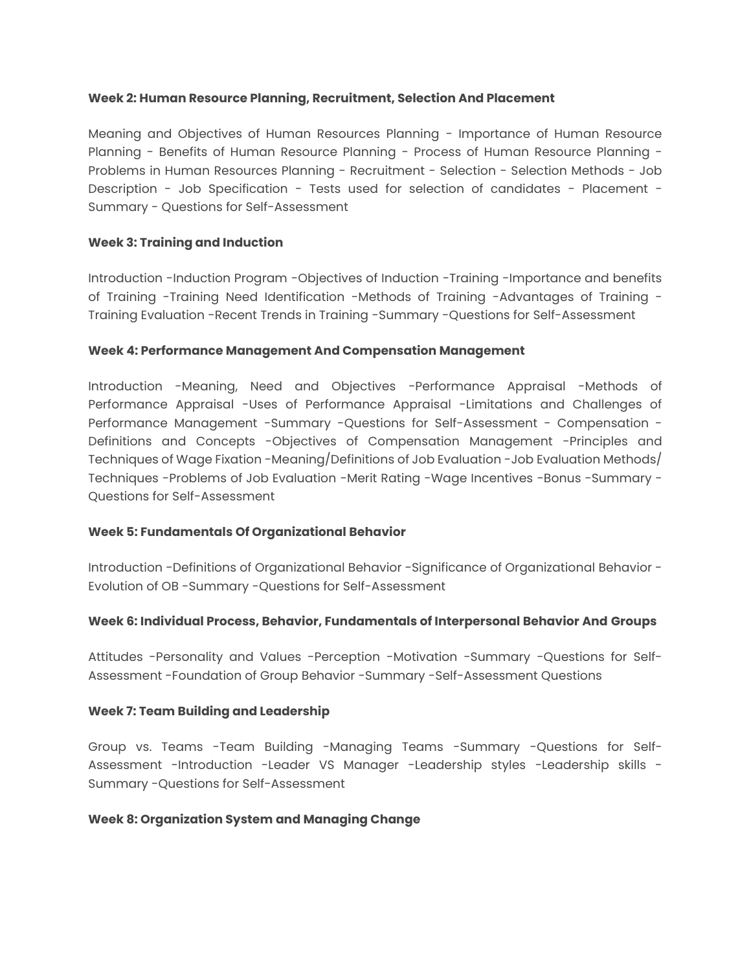#### **Week 2: Human Resource Planning, Recruitment, Selection And Placement**

Meaning and Objectives of Human Resources Planning - Importance of Human Resource Planning - Benefits of Human Resource Planning - Process of Human Resource Planning - Problems in Human Resources Planning - Recruitment - Selection - Selection Methods - Job Description - Job Specification - Tests used for selection of candidates - Placement - Summary - Questions for Self-Assessment

### **Week 3: Training and Induction**

Introduction -Induction Program -Objectives of Induction -Training -Importance and benefits of Training -Training Need Identification -Methods of Training -Advantages of Training - Training Evaluation -Recent Trends in Training -Summary -Questions for Self-Assessment

### **Week 4: Performance Management And Compensation Management**

Introduction -Meaning, Need and Objectives -Performance Appraisal -Methods of Performance Appraisal -Uses of Performance Appraisal -Limitations and Challenges of Performance Management -Summary -Questions for Self-Assessment - Compensation - Definitions and Concepts -Objectives of Compensation Management -Principles and Techniques of Wage Fixation -Meaning/Definitions of Job Evaluation -Job Evaluation Methods/ Techniques -Problems of Job Evaluation -Merit Rating -Wage Incentives -Bonus -Summary - Questions for Self-Assessment

### **Week 5: Fundamentals Of Organizational Behavior**

Introduction -Definitions of Organizational Behavior -Significance of Organizational Behavior - Evolution of OB -Summary -Questions for Self-Assessment

### **Week 6: Individual Process, Behavior, Fundamentals of Interpersonal Behavior And Groups**

Attitudes -Personality and Values -Perception -Motivation -Summary -Questions for Self-Assessment -Foundation of Group Behavior -Summary -Self-Assessment Questions

### **Week 7: Team Building and Leadership**

Group vs. Teams -Team Building -Managing Teams -Summary -Questions for Self-Assessment -Introduction -Leader VS Manager -Leadership styles -Leadership skills - Summary -Questions for Self-Assessment

### **Week 8: Organization System and Managing Change**